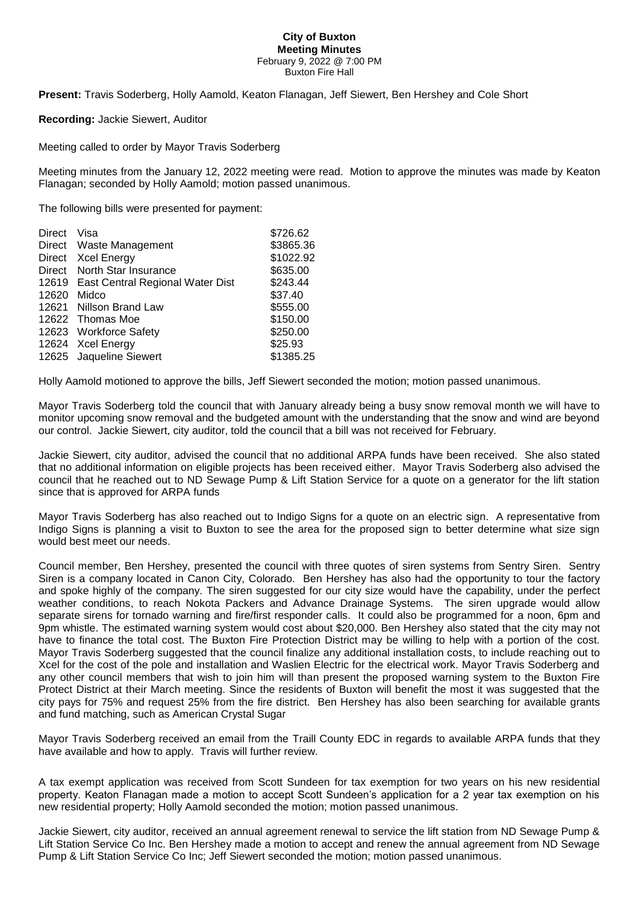## **City of Buxton Meeting Minutes** February 9, 2022 @ 7:00 PM Buxton Fire Hall

**Present:** Travis Soderberg, Holly Aamold, Keaton Flanagan, Jeff Siewert, Ben Hershey and Cole Short

**Recording:** Jackie Siewert, Auditor

Meeting called to order by Mayor Travis Soderberg

Meeting minutes from the January 12, 2022 meeting were read. Motion to approve the minutes was made by Keaton Flanagan; seconded by Holly Aamold; motion passed unanimous.

The following bills were presented for payment:

| <b>Direct</b> | Visa                                   | \$726.62  |
|---------------|----------------------------------------|-----------|
|               | Direct Waste Management                | \$3865.36 |
|               | Direct Xcel Energy                     | \$1022.92 |
| Direct        | North Star Insurance                   | \$635.00  |
|               | 12619 East Central Regional Water Dist | \$243.44  |
| 12620         | Midco                                  | \$37.40   |
|               | 12621 Nillson Brand Law                | \$555.00  |
|               | 12622 Thomas Moe                       | \$150.00  |
|               | 12623 Workforce Safety                 | \$250.00  |
|               | 12624 Xcel Energy                      | \$25.93   |
|               | 12625 Jaqueline Siewert                | \$1385.25 |

Holly Aamold motioned to approve the bills, Jeff Siewert seconded the motion; motion passed unanimous.

Mayor Travis Soderberg told the council that with January already being a busy snow removal month we will have to monitor upcoming snow removal and the budgeted amount with the understanding that the snow and wind are beyond our control. Jackie Siewert, city auditor, told the council that a bill was not received for February.

Jackie Siewert, city auditor, advised the council that no additional ARPA funds have been received. She also stated that no additional information on eligible projects has been received either. Mayor Travis Soderberg also advised the council that he reached out to ND Sewage Pump & Lift Station Service for a quote on a generator for the lift station since that is approved for ARPA funds

Mayor Travis Soderberg has also reached out to Indigo Signs for a quote on an electric sign. A representative from Indigo Signs is planning a visit to Buxton to see the area for the proposed sign to better determine what size sign would best meet our needs.

Council member, Ben Hershey, presented the council with three quotes of siren systems from Sentry Siren. Sentry Siren is a company located in Canon City, Colorado. Ben Hershey has also had the opportunity to tour the factory and spoke highly of the company. The siren suggested for our city size would have the capability, under the perfect weather conditions, to reach Nokota Packers and Advance Drainage Systems. The siren upgrade would allow separate sirens for tornado warning and fire/first responder calls. It could also be programmed for a noon, 6pm and 9pm whistle. The estimated warning system would cost about \$20,000. Ben Hershey also stated that the city may not have to finance the total cost. The Buxton Fire Protection District may be willing to help with a portion of the cost. Mayor Travis Soderberg suggested that the council finalize any additional installation costs, to include reaching out to Xcel for the cost of the pole and installation and Waslien Electric for the electrical work. Mayor Travis Soderberg and any other council members that wish to join him will than present the proposed warning system to the Buxton Fire Protect District at their March meeting. Since the residents of Buxton will benefit the most it was suggested that the city pays for 75% and request 25% from the fire district. Ben Hershey has also been searching for available grants and fund matching, such as American Crystal Sugar

Mayor Travis Soderberg received an email from the Traill County EDC in regards to available ARPA funds that they have available and how to apply. Travis will further review.

A tax exempt application was received from Scott Sundeen for tax exemption for two years on his new residential property. Keaton Flanagan made a motion to accept Scott Sundeen's application for a 2 year tax exemption on his new residential property; Holly Aamold seconded the motion; motion passed unanimous.

Jackie Siewert, city auditor, received an annual agreement renewal to service the lift station from ND Sewage Pump & Lift Station Service Co Inc. Ben Hershey made a motion to accept and renew the annual agreement from ND Sewage Pump & Lift Station Service Co Inc; Jeff Siewert seconded the motion; motion passed unanimous.